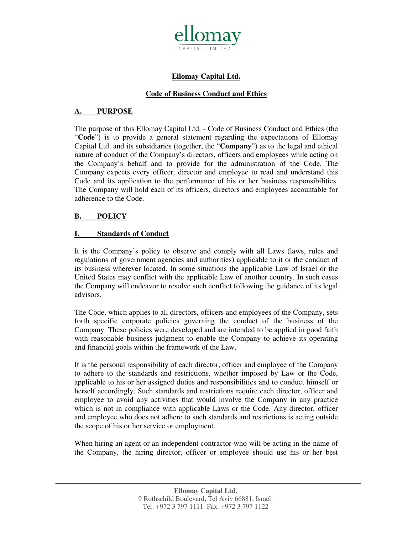

# **Ellomay Capital Ltd.**

## **Code of Business Conduct and Ethics**

## **A. PURPOSE**

The purpose of this Ellomay Capital Ltd. - Code of Business Conduct and Ethics (the "**Code**") is to provide a general statement regarding the expectations of Ellomay Capital Ltd. and its subsidiaries (together, the "**Company**") as to the legal and ethical nature of conduct of the Company's directors, officers and employees while acting on the Company's behalf and to provide for the administration of the Code. The Company expects every officer, director and employee to read and understand this Code and its application to the performance of his or her business responsibilities. The Company will hold each of its officers, directors and employees accountable for adherence to the Code.

### **B. POLICY**

### **I. Standards of Conduct**

It is the Company's policy to observe and comply with all Laws (laws, rules and regulations of government agencies and authorities) applicable to it or the conduct of its business wherever located. In some situations the applicable Law of Israel or the United States may conflict with the applicable Law of another country. In such cases the Company will endeavor to resolve such conflict following the guidance of its legal advisors.

The Code, which applies to all directors, officers and employees of the Company, sets forth specific corporate policies governing the conduct of the business of the Company. These policies were developed and are intended to be applied in good faith with reasonable business judgment to enable the Company to achieve its operating and financial goals within the framework of the Law.

It is the personal responsibility of each director, officer and employee of the Company to adhere to the standards and restrictions, whether imposed by Law or the Code, applicable to his or her assigned duties and responsibilities and to conduct himself or herself accordingly. Such standards and restrictions require each director, officer and employee to avoid any activities that would involve the Company in any practice which is not in compliance with applicable Laws or the Code. Any director, officer and employee who does not adhere to such standards and restrictions is acting outside the scope of his or her service or employment.

When hiring an agent or an independent contractor who will be acting in the name of the Company, the hiring director, officer or employee should use his or her best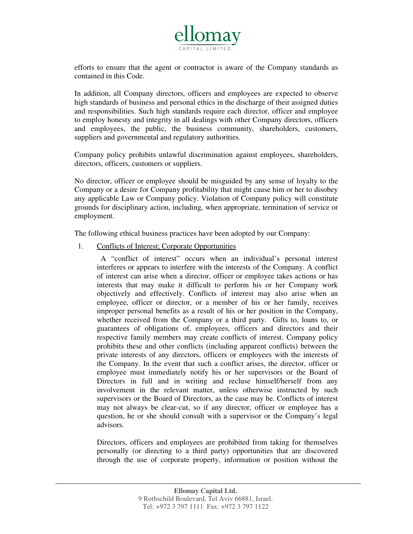

efforts to ensure that the agent or contractor is aware of the Company standards as contained in this Code.

In addition, all Company directors, officers and employees are expected to observe high standards of business and personal ethics in the discharge of their assigned duties and responsibilities. Such high standards require each director, officer and employee to employ honesty and integrity in all dealings with other Company directors, officers and employees, the public, the business community, shareholders, customers, suppliers and governmental and regulatory authorities.

Company policy prohibits unlawful discrimination against employees, shareholders, directors, officers, customers or suppliers.

No director, officer or employee should be misguided by any sense of loyalty to the Company or a desire for Company profitability that might cause him or her to disobey any applicable Law or Company policy. Violation of Company policy will constitute grounds for disciplinary action, including, when appropriate, termination of service or employment.

The following ethical business practices have been adopted by our Company:

1. Conflicts of Interest; Corporate Opportunities

 A "conflict of interest" occurs when an individual's personal interest interferes or appears to interfere with the interests of the Company. A conflict of interest can arise when a director, officer or employee takes actions or has interests that may make it difficult to perform his or her Company work objectively and effectively. Conflicts of interest may also arise when an employee, officer or director, or a member of his or her family, receives improper personal benefits as a result of his or her position in the Company, whether received from the Company or a third party. Gifts to, loans to, or guarantees of obligations of, employees, officers and directors and their respective family members may create conflicts of interest. Company policy prohibits these and other conflicts (including apparent conflicts) between the private interests of any directors, officers or employees with the interests of the Company. In the event that such a conflict arises, the director, officer or employee must immediately notify his or her supervisors or the Board of Directors in full and in writing and recluse himself/herself from any involvement in the relevant matter, unless otherwise instructed by such supervisors or the Board of Directors, as the case may be. Conflicts of interest may not always be clear-cut, so if any director, officer or employee has a question, he or she should consult with a supervisor or the Company's legal advisors.

Directors, officers and employees are prohibited from taking for themselves personally (or directing to a third party) opportunities that are discovered through the use of corporate property, information or position without the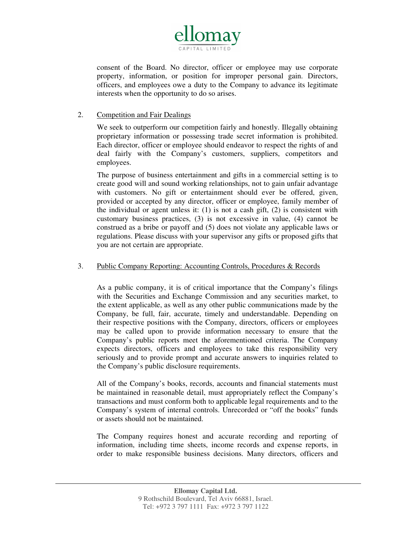

consent of the Board. No director, officer or employee may use corporate property, information, or position for improper personal gain. Directors, officers, and employees owe a duty to the Company to advance its legitimate interests when the opportunity to do so arises.

# 2. Competition and Fair Dealings

We seek to outperform our competition fairly and honestly. Illegally obtaining proprietary information or possessing trade secret information is prohibited. Each director, officer or employee should endeavor to respect the rights of and deal fairly with the Company's customers, suppliers, competitors and employees.

The purpose of business entertainment and gifts in a commercial setting is to create good will and sound working relationships, not to gain unfair advantage with customers. No gift or entertainment should ever be offered, given, provided or accepted by any director, officer or employee, family member of the individual or agent unless it: (1) is not a cash gift, (2) is consistent with customary business practices, (3) is not excessive in value, (4) cannot be construed as a bribe or payoff and (5) does not violate any applicable laws or regulations. Please discuss with your supervisor any gifts or proposed gifts that you are not certain are appropriate.

#### 3. Public Company Reporting: Accounting Controls, Procedures & Records

As a public company, it is of critical importance that the Company's filings with the Securities and Exchange Commission and any securities market, to the extent applicable, as well as any other public communications made by the Company, be full, fair, accurate, timely and understandable. Depending on their respective positions with the Company, directors, officers or employees may be called upon to provide information necessary to ensure that the Company's public reports meet the aforementioned criteria. The Company expects directors, officers and employees to take this responsibility very seriously and to provide prompt and accurate answers to inquiries related to the Company's public disclosure requirements.

All of the Company's books, records, accounts and financial statements must be maintained in reasonable detail, must appropriately reflect the Company's transactions and must conform both to applicable legal requirements and to the Company's system of internal controls. Unrecorded or "off the books" funds or assets should not be maintained.

The Company requires honest and accurate recording and reporting of information, including time sheets, income records and expense reports, in order to make responsible business decisions. Many directors, officers and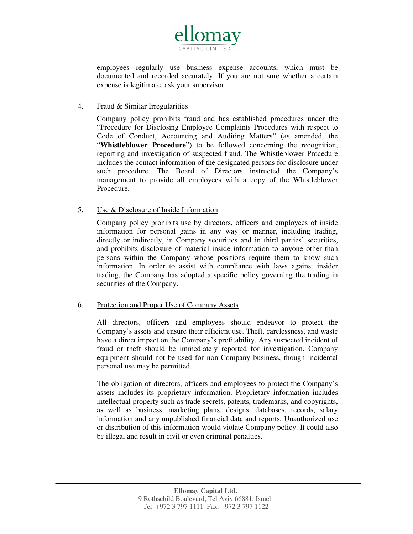

employees regularly use business expense accounts, which must be documented and recorded accurately. If you are not sure whether a certain expense is legitimate, ask your supervisor.

### 4. Fraud & Similar Irregularities

Company policy prohibits fraud and has established procedures under the "Procedure for Disclosing Employee Complaints Procedures with respect to Code of Conduct, Accounting and Auditing Matters" (as amended, the "**Whistleblower Procedure**") to be followed concerning the recognition, reporting and investigation of suspected fraud. The Whistleblower Procedure includes the contact information of the designated persons for disclosure under such procedure. The Board of Directors instructed the Company's management to provide all employees with a copy of the Whistleblower Procedure.

### 5. Use & Disclosure of Inside Information

Company policy prohibits use by directors, officers and employees of inside information for personal gains in any way or manner, including trading, directly or indirectly, in Company securities and in third parties' securities, and prohibits disclosure of material inside information to anyone other than persons within the Company whose positions require them to know such information. In order to assist with compliance with laws against insider trading, the Company has adopted a specific policy governing the trading in securities of the Company.

#### 6. Protection and Proper Use of Company Assets

All directors, officers and employees should endeavor to protect the Company's assets and ensure their efficient use. Theft, carelessness, and waste have a direct impact on the Company's profitability. Any suspected incident of fraud or theft should be immediately reported for investigation. Company equipment should not be used for non-Company business, though incidental personal use may be permitted.

The obligation of directors, officers and employees to protect the Company's assets includes its proprietary information. Proprietary information includes intellectual property such as trade secrets, patents, trademarks, and copyrights, as well as business, marketing plans, designs, databases, records, salary information and any unpublished financial data and reports. Unauthorized use or distribution of this information would violate Company policy. It could also be illegal and result in civil or even criminal penalties.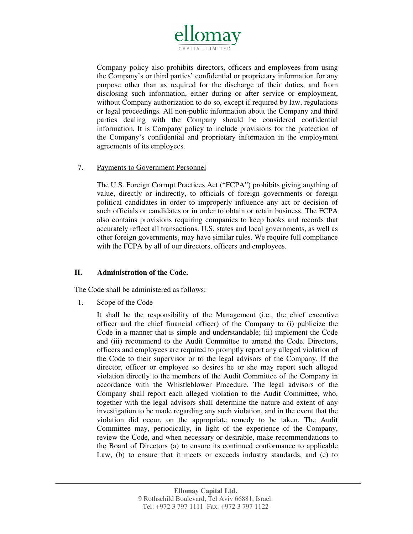

Company policy also prohibits directors, officers and employees from using the Company's or third parties' confidential or proprietary information for any purpose other than as required for the discharge of their duties, and from disclosing such information, either during or after service or employment, without Company authorization to do so, except if required by law, regulations or legal proceedings. All non-public information about the Company and third parties dealing with the Company should be considered confidential information. It is Company policy to include provisions for the protection of the Company's confidential and proprietary information in the employment agreements of its employees.

#### 7. Payments to Government Personnel

The U.S. Foreign Corrupt Practices Act ("FCPA") prohibits giving anything of value, directly or indirectly, to officials of foreign governments or foreign political candidates in order to improperly influence any act or decision of such officials or candidates or in order to obtain or retain business. The FCPA also contains provisions requiring companies to keep books and records that accurately reflect all transactions. U.S. states and local governments, as well as other foreign governments, may have similar rules. We require full compliance with the FCPA by all of our directors, officers and employees.

# **II. Administration of the Code.**

The Code shall be administered as follows:

1. Scope of the Code

It shall be the responsibility of the Management (i.e., the chief executive officer and the chief financial officer) of the Company to (i) publicize the Code in a manner that is simple and understandable; (ii) implement the Code and (iii) recommend to the Audit Committee to amend the Code. Directors, officers and employees are required to promptly report any alleged violation of the Code to their supervisor or to the legal advisors of the Company. If the director, officer or employee so desires he or she may report such alleged violation directly to the members of the Audit Committee of the Company in accordance with the Whistleblower Procedure. The legal advisors of the Company shall report each alleged violation to the Audit Committee, who, together with the legal advisors shall determine the nature and extent of any investigation to be made regarding any such violation, and in the event that the violation did occur, on the appropriate remedy to be taken. The Audit Committee may, periodically, in light of the experience of the Company, review the Code, and when necessary or desirable, make recommendations to the Board of Directors (a) to ensure its continued conformance to applicable Law, (b) to ensure that it meets or exceeds industry standards, and (c) to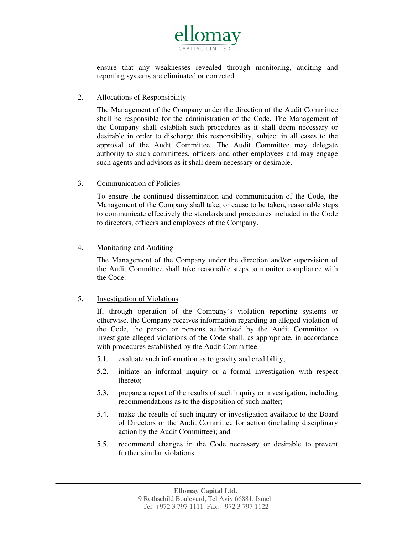

ensure that any weaknesses revealed through monitoring, auditing and reporting systems are eliminated or corrected.

#### 2. Allocations of Responsibility

The Management of the Company under the direction of the Audit Committee shall be responsible for the administration of the Code. The Management of the Company shall establish such procedures as it shall deem necessary or desirable in order to discharge this responsibility, subject in all cases to the approval of the Audit Committee. The Audit Committee may delegate authority to such committees, officers and other employees and may engage such agents and advisors as it shall deem necessary or desirable.

### 3. Communication of Policies

To ensure the continued dissemination and communication of the Code, the Management of the Company shall take, or cause to be taken, reasonable steps to communicate effectively the standards and procedures included in the Code to directors, officers and employees of the Company.

### 4. Monitoring and Auditing

The Management of the Company under the direction and/or supervision of the Audit Committee shall take reasonable steps to monitor compliance with the Code.

# 5. Investigation of Violations

If, through operation of the Company's violation reporting systems or otherwise, the Company receives information regarding an alleged violation of the Code, the person or persons authorized by the Audit Committee to investigate alleged violations of the Code shall, as appropriate, in accordance with procedures established by the Audit Committee:

- 5.1. evaluate such information as to gravity and credibility;
- 5.2. initiate an informal inquiry or a formal investigation with respect thereto;
- 5.3. prepare a report of the results of such inquiry or investigation, including recommendations as to the disposition of such matter;
- 5.4. make the results of such inquiry or investigation available to the Board of Directors or the Audit Committee for action (including disciplinary action by the Audit Committee); and
- 5.5. recommend changes in the Code necessary or desirable to prevent further similar violations.